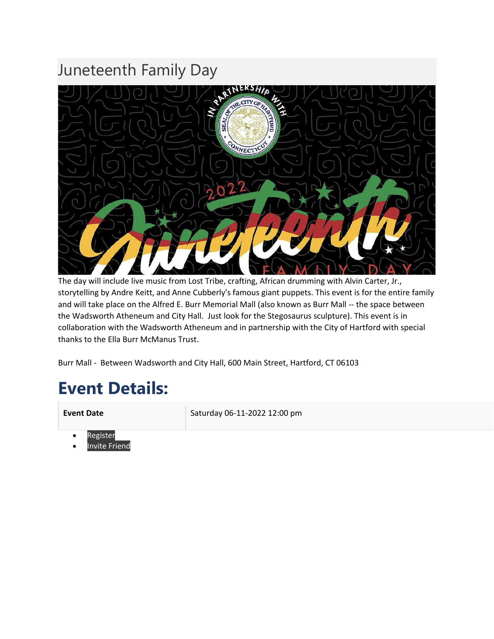### Juneteenth Family Day



The day will include live music from Lost Tribe, crafting, African drumming with Alvin Carter, Jr., storytelling by Andre Keitt, and Anne Cubberly's famous giant puppets. This event is for the entire family and will take place on the Alfred E. Burr Memorial Mall (also known as Burr Mall -- the space between the Wadsworth Atheneum and City Hall. Just look for the Stegosaurus sculpture). This event is in collaboration with the Wadsworth Atheneum and in partnership with the City of Hartford with special thanks to the Ella Burr McManus Trust.

Burr Mall - Between Wadsworth and City Hall, 600 Main Street, Hartford, CT 06103

### **Event Details:**

**Event Date** Saturday 06-11-2022 12:00 pm

- **[Register](https://www.amistadcenter.org/event-details/juneteenth-family-day)**
- Invite [Friend](https://www.bbusinessalliance.org/events/juneteenth-events/juneteenth-family-day/invite-friend?tmpl=component)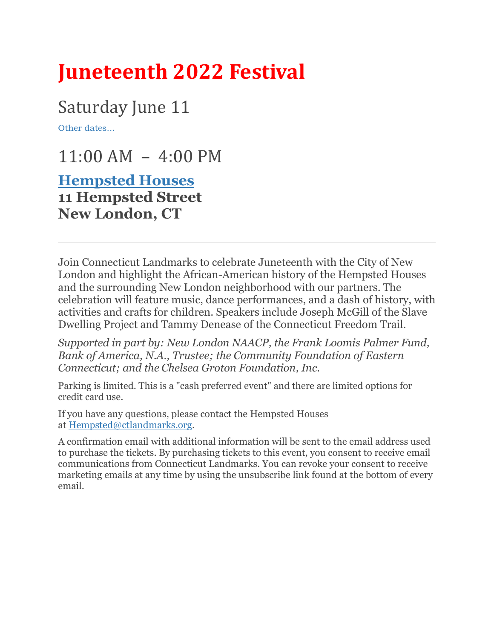# **Juneteenth 2022 Festival**

## Saturday June 11

[Other dates...](javascript:void(0);)

 $11:00$  AM  $-$  4:00 PM

### **[Hempsted Houses](https://goo.gl/maps/WrXDaM761fotbNwA9) 11 Hempsted Street New London, CT**

Join Connecticut Landmarks to celebrate Juneteenth with the City of New London and highlight the African-American history of the Hempsted Houses and the surrounding New London neighborhood with our partners. The celebration will feature music, dance performances, and a dash of history, with activities and crafts for children. Speakers include Joseph McGill of the Slave Dwelling Project and Tammy Denease of the Connecticut Freedom Trail.

*Supported in part by: New London NAACP, the Frank Loomis Palmer Fund, Bank of America, N.A., Trustee; the Community Foundation of Eastern Connecticut; and the Chelsea Groton Foundation, Inc.*

Parking is limited. This is a "cash preferred event" and there are limited options for credit card use.

If you have any questions, please contact the Hempsted Houses at [Hempsted@ctlandmarks.org.](mailto:Hempsted@ctlandmarks.org)

A confirmation email with additional information will be sent to the email address used to purchase the tickets. By purchasing tickets to this event, you consent to receive email communications from Connecticut Landmarks. You can revoke your consent to receive marketing emails at any time by using the unsubscribe link found at the bottom of every email.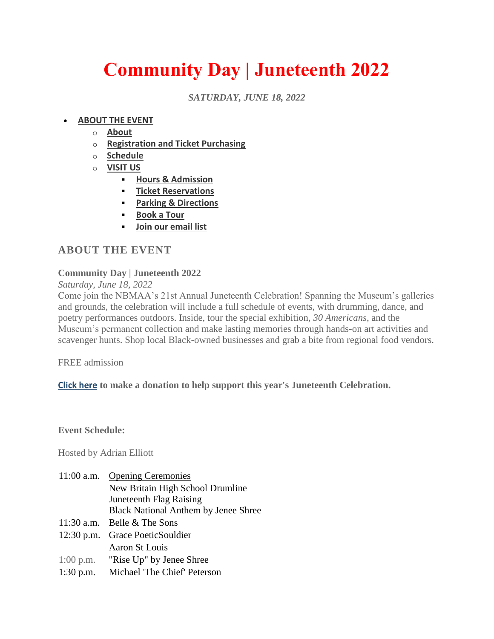# **Community Day | Juneteenth 2022**

*SATURDAY, JUNE 18, 2022*

#### • **[ABOUT THE EVENT](https://nbmaa.org/events/juneteenth-2022)**

- o **[About](https://nbmaa.org/events/juneteenth-2022#about-event)**
- o **[Registration and Ticket Purchasing](https://nbmaa.org/events/juneteenth-2022#event-registration)**
- o **[Schedule](https://nbmaa.org/events/juneteenth-2022#event-schedule)**
- o **[VISIT US](https://nbmaa.org/events/juneteenth-2022)**
	- **[Hours & Admission](https://nbmaa.org/visit#hours-admission)**
	- **[Ticket Reservations](https://nbmaa.org/visit#ticket-reservations)**
	- **[Parking & Directions](https://nbmaa.org/visit#parking)**
	- **[Book a Tour](https://www.nbmaa.org/adult-tours)**
	- **[Join our email list](https://nbmaa.org/events/juneteenth-2022#signup)**

### **ABOUT THE EVENT**

### **Community Day | Juneteenth 2022**

*Saturday, June 18, 2022*

Come join the NBMAA's 21st Annual Juneteenth Celebration! Spanning the Museum's galleries and grounds, the celebration will include a full schedule of events, with drumming, dance, and poetry performances outdoors. Inside, tour the special exhibition, *30 Americans*, and the Museum's permanent collection and make lasting memories through hands-on art activities and scavenger hunts. Shop local Black-owned businesses and grab a bite from regional food vendors.

FREE admission

**[Click here](https://bit.ly/NBMAA-Juneteenth-support) to make a donation to help support this year's Juneteenth Celebration.**

**Event Schedule:**

Hosted by Adrian Elliott

| $11:00$ a.m. | <b>Opening Ceremonies</b>                   |
|--------------|---------------------------------------------|
|              | New Britain High School Drumline            |
|              | Juneteenth Flag Raising                     |
|              | <b>Black National Anthem by Jenee Shree</b> |
|              | 11:30 a.m. Belle $&$ The Sons               |
|              | 12:30 p.m. Grace PoeticSouldier             |
|              | Aaron St Louis                              |
|              | $1:00$ p.m. "Rise Up" by Jenee Shree        |
| $1:30$ p.m.  | Michael 'The Chief' Peterson                |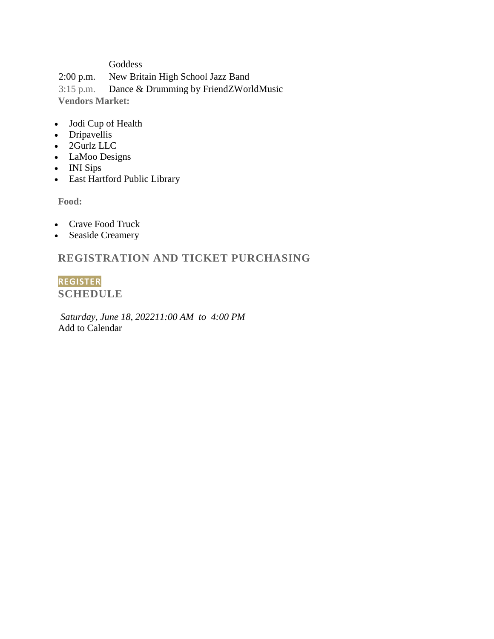#### Goddess

2:00 p.m.New Britain High School Jazz Band

3:15 p.m.Dance & Drumming by FriendZWorldMusic **Vendors Market:**

- Jodi Cup of Health
- Dripavellis
- 2Gurlz LLC
- LaMoo Designs
- INI Sips
- East Hartford Public Library

**Food:**

- Crave Food Truck
- Seaside Creamery

### **REGISTRATION AND TICKET PURCHASING**

**[REGISTER](http://6470.blackbaudhosting.com/6470/tickets?tab=2&txobjid=9987e908-19e1-4703-88aa-22545430af00) SCHEDULE**

*Saturday, June 18, 202211:00 AM to 4:00 PM* Add to Calendar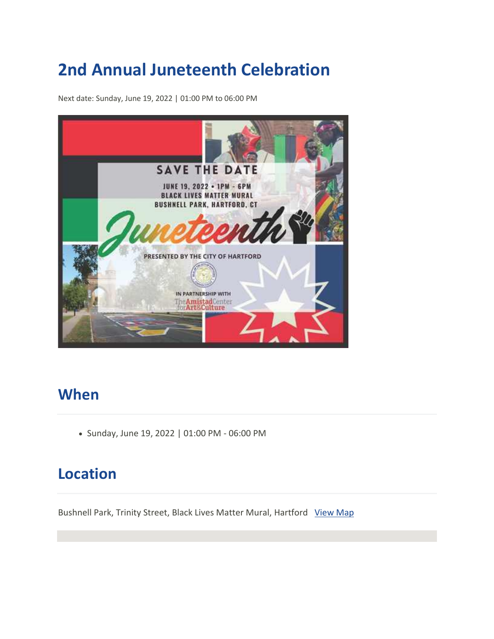## **2nd Annual Juneteenth Celebration**

Next date: Sunday, June 19, 2022 | 01:00 PM to 06:00 PM



### **When**

• Sunday, June 19, 2022 | 01:00 PM - 06:00 PM

### **Location**

Bushnell Park, Trinity Street, Black Lives Matter Mural, Hartford [View Map](https://maps.google.com/?q=Trinity%20Street,%20Black%20Lives%20Matter%20Mural%20%20Hartford%20)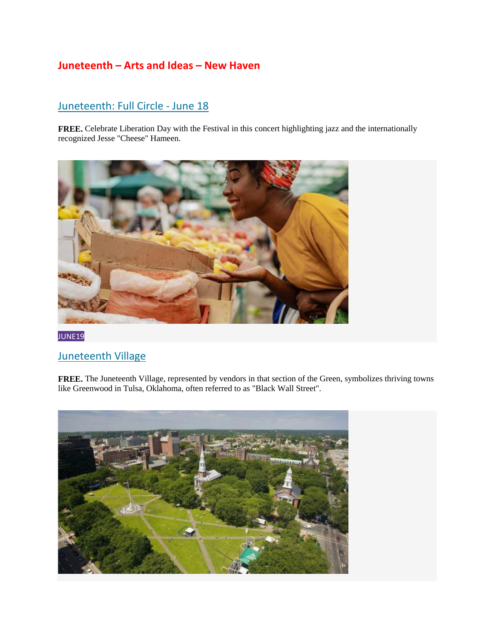### **Juneteenth – Arts and Ideas – New Haven**

### [Juneteenth: Full Circle](https://www.artidea.org/event/2022/4871) - June 18

**FREE.** Celebrate Liberation Day with the Festival in this concert highlighting jazz and the internationally recognized Jesse "Cheese" Hameen.



[JUNE19](https://www.artidea.org/event/2022/4908)

### [Juneteenth Village](https://www.artidea.org/event/2022/4908)

**FREE.** The Juneteenth Village, represented by vendors in that section of the Green, symbolizes thriving towns like Greenwood in Tulsa, Oklahoma, often referred to as "Black Wall Street".